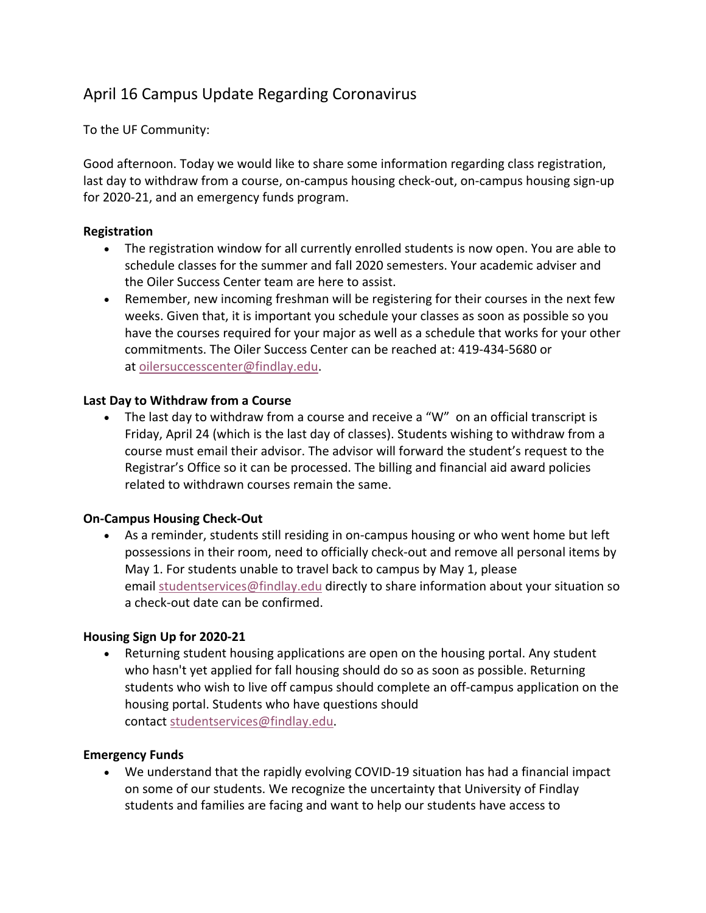# April 16 Campus Update Regarding Coronavirus

To the UF Community:

Good afternoon. Today we would like to share some information regarding class registration, last day to withdraw from a course, on-campus housing check-out, on-campus housing sign-up for 2020-21, and an emergency funds program.

#### **Registration**

- The registration window for all currently enrolled students is now open. You are able to schedule classes for the summer and fall 2020 semesters. Your academic adviser and the Oiler Success Center team are here to assist.
- Remember, new incoming freshman will be registering for their courses in the next few weeks. Given that, it is important you schedule your classes as soon as possible so you have the courses required for your major as well as a schedule that works for your other commitments. The Oiler Success Center can be reached at: 419-434-5680 or at oilersuccesscenter@findlay.edu.

#### **Last Day to Withdraw from a Course**

• The last day to withdraw from a course and receive a "W" on an official transcript is Friday, April 24 (which is the last day of classes). Students wishing to withdraw from a course must email their advisor. The advisor will forward the student's request to the Registrar's Office so it can be processed. The billing and financial aid award policies related to withdrawn courses remain the same.

## **On-Campus Housing Check-Out**

• As a reminder, students still residing in on-campus housing or who went home but left possessions in their room, need to officially check-out and remove all personal items by May 1. For students unable to travel back to campus by May 1, please email studentservices@findlay.edu directly to share information about your situation so a check-out date can be confirmed.

## **Housing Sign Up for 2020-21**

• Returning student housing applications are open on the housing portal. Any student who hasn't yet applied for fall housing should do so as soon as possible. Returning students who wish to live off campus should complete an off-campus application on the housing portal. Students who have questions should contact studentservices@findlay.edu.

## **Emergency Funds**

• We understand that the rapidly evolving COVID-19 situation has had a financial impact on some of our students. We recognize the uncertainty that University of Findlay students and families are facing and want to help our students have access to